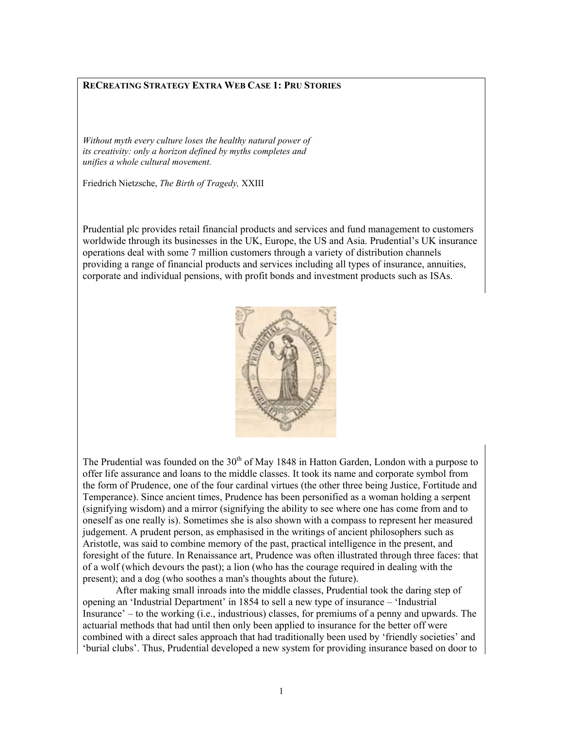## **RECREATING STRATEGY EXTRA WEB CASE 1: PRU STORIES**

*Without myth every culture loses the healthy natural power of its creativity: only a horizon defined by myths completes and unifies a whole cultural movement.*

Friedrich Nietzsche, *The Birth of Tragedy,* XXIII

Prudential plc provides retail financial products and services and fund management to customers worldwide through its businesses in the UK, Europe, the US and Asia. Prudential's UK insurance operations deal with some 7 million customers through a variety of distribution channels providing a range of financial products and services including all types of insurance, annuities, corporate and individual pensions, with profit bonds and investment products such as ISAs.



The Prudential was founded on the 30<sup>th</sup> of May 1848 in Hatton Garden, London with a purpose to offer life assurance and loans to the middle classes. It took its name and corporate symbol from the form of Prudence, one of the four cardinal virtues (the other three being Justice, Fortitude and Temperance). Since ancient times, Prudence has been personified as a woman holding a serpent (signifying wisdom) and a mirror (signifying the ability to see where one has come from and to oneself as one really is). Sometimes she is also shown with a compass to represent her measured judgement. A prudent person, as emphasised in the writings of ancient philosophers such as Aristotle, was said to combine memory of the past, practical intelligence in the present, and foresight of the future. In Renaissance art, Prudence was often illustrated through three faces: that of a wolf (which devours the past); a lion (who has the courage required in dealing with the present); and a dog (who soothes a man's thoughts about the future).

After making small inroads into the middle classes, Prudential took the daring step of opening an 'Industrial Department' in 1854 to sell a new type of insurance – 'Industrial Insurance' – to the working (i.e., industrious) classes, for premiums of a penny and upwards. The actuarial methods that had until then only been applied to insurance for the better off were combined with a direct sales approach that had traditionally been used by 'friendly societies' and 'burial clubs'. Thus, Prudential developed a new system for providing insurance based on door to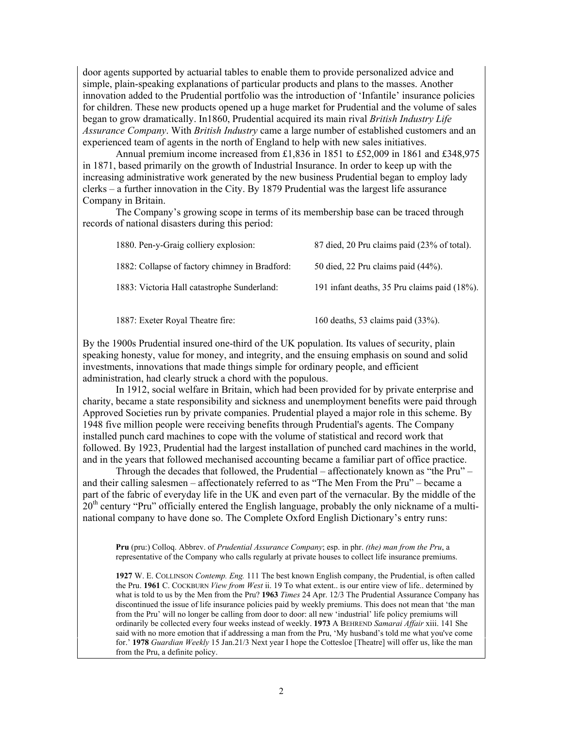door agents supported by actuarial tables to enable them to provide personalized advice and simple, plain-speaking explanations of particular products and plans to the masses. Another innovation added to the Prudential portfolio was the introduction of 'Infantile' insurance policies for children. These new products opened up a huge market for Prudential and the volume of sales began to grow dramatically. In1860, Prudential acquired its main rival *British Industry Life Assurance Company*. With *British Industry* came a large number of established customers and an experienced team of agents in the north of England to help with new sales initiatives.

Annual premium income increased from £1,836 in 1851 to £52,009 in 1861 and £348,975 in 1871, based primarily on the growth of Industrial Insurance. In order to keep up with the increasing administrative work generated by the new business Prudential began to employ lady clerks – a further innovation in the City. By 1879 Prudential was the largest life assurance Company in Britain.

The Company's growing scope in terms of its membership base can be traced through records of national disasters during this period:

| 1880. Pen-y-Graig colliery explosion:          | 87 died, 20 Pru claims paid (23% of total).  |
|------------------------------------------------|----------------------------------------------|
| 1882: Collapse of factory chimney in Bradford: | 50 died, 22 Pru claims paid $(44\%)$ .       |
| 1883: Victoria Hall catastrophe Sunderland:    | 191 infant deaths, 35 Pru claims paid (18%). |
| 1887: Exeter Roval Theatre fire:               | 160 deaths, 53 claims paid $(33\%)$ .        |

By the 1900s Prudential insured one-third of the UK population. Its values of security, plain speaking honesty, value for money, and integrity, and the ensuing emphasis on sound and solid investments, innovations that made things simple for ordinary people, and efficient administration, had clearly struck a chord with the populous.

In 1912, social welfare in Britain, which had been provided for by private enterprise and charity, became a state responsibility and sickness and unemployment benefits were paid through Approved Societies run by private companies. Prudential played a major role in this scheme. By 1948 five million people were receiving benefits through Prudential's agents. The Company installed punch card machines to cope with the volume of statistical and record work that followed. By 1923, Prudential had the largest installation of punched card machines in the world, and in the years that followed mechanised accounting became a familiar part of office practice.

Through the decades that followed, the Prudential – affectionately known as "the Pru" – and their calling salesmen – affectionately referred to as "The Men From the Pru" – became a part of the fabric of everyday life in the UK and even part of the vernacular. By the middle of the  $20<sup>th</sup>$  century "Pru" officially entered the English language, probably the only nickname of a multinational company to have done so. The Complete Oxford English Dictionary's entry runs:

**Pru** (pru:) Colloq. Abbrev. of *Prudential Assurance Company*; esp. in phr. *(the) man from the Pru*, a representative of the Company who calls regularly at private houses to collect life insurance premiums.

**1927** W. E. COLLINSON *Contemp. Eng.* 111 The best known English company, the Prudential, is often called the Pru. **1961** C. COCKBURN *View from West* ii. 19 To what extent.. is our entire view of life.. determined by what is told to us by the Men from the Pru? **1963** *Times* 24 Apr. 12/3 The Prudential Assurance Company has discontinued the issue of life insurance policies paid by weekly premiums. This does not mean that 'the man from the Pru' will no longer be calling from door to door: all new 'industrial' life policy premiums will ordinarily be collected every four weeks instead of weekly. **1973** A BEHREND *Samarai Affair* xiii. 141 She said with no more emotion that if addressing a man from the Pru, 'My husband's told me what you've come for.' **1978** *Guardian Weekly* 15 Jan.21/3 Next year I hope the Cottesloe [Theatre] will offer us, like the man from the Pru, a definite policy.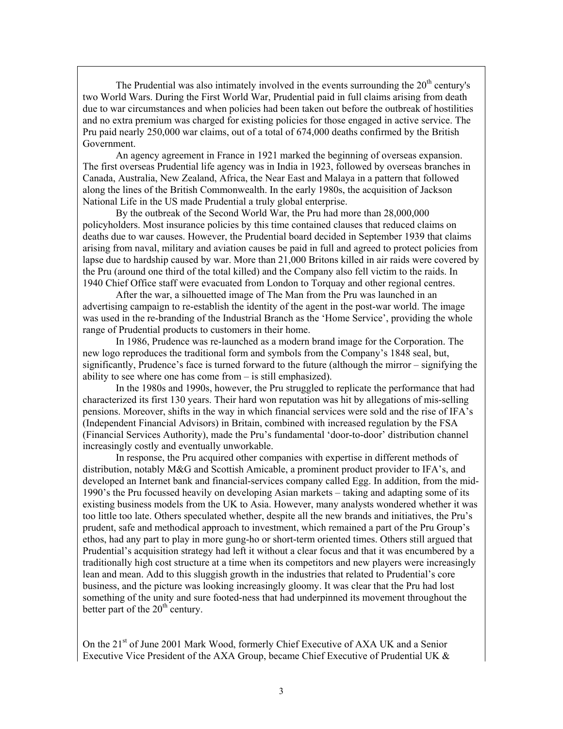The Prudential was also intimately involved in the events surrounding the  $20<sup>th</sup>$  century's two World Wars. During the First World War, Prudential paid in full claims arising from death due to war circumstances and when policies had been taken out before the outbreak of hostilities and no extra premium was charged for existing policies for those engaged in active service. The Pru paid nearly 250,000 war claims, out of a total of 674,000 deaths confirmed by the British Government.

An agency agreement in France in 1921 marked the beginning of overseas expansion. The first overseas Prudential life agency was in India in 1923, followed by overseas branches in Canada, Australia, New Zealand, Africa, the Near East and Malaya in a pattern that followed along the lines of the British Commonwealth. In the early 1980s, the acquisition of Jackson National Life in the US made Prudential a truly global enterprise.

By the outbreak of the Second World War, the Pru had more than 28,000,000 policyholders. Most insurance policies by this time contained clauses that reduced claims on deaths due to war causes. However, the Prudential board decided in September 1939 that claims arising from naval, military and aviation causes be paid in full and agreed to protect policies from lapse due to hardship caused by war. More than 21,000 Britons killed in air raids were covered by the Pru (around one third of the total killed) and the Company also fell victim to the raids. In 1940 Chief Office staff were evacuated from London to Torquay and other regional centres.

After the war, a silhouetted image of The Man from the Pru was launched in an advertising campaign to re-establish the identity of the agent in the post-war world. The image was used in the re-branding of the Industrial Branch as the 'Home Service', providing the whole range of Prudential products to customers in their home.

In 1986, Prudence was re-launched as a modern brand image for the Corporation. The new logo reproduces the traditional form and symbols from the Company's 1848 seal, but, significantly, Prudence's face is turned forward to the future (although the mirror – signifying the ability to see where one has come from – is still emphasized).

In the 1980s and 1990s, however, the Pru struggled to replicate the performance that had characterized its first 130 years. Their hard won reputation was hit by allegations of mis-selling pensions. Moreover, shifts in the way in which financial services were sold and the rise of IFA's (Independent Financial Advisors) in Britain, combined with increased regulation by the FSA (Financial Services Authority), made the Pru's fundamental 'door-to-door' distribution channel increasingly costly and eventually unworkable.

In response, the Pru acquired other companies with expertise in different methods of distribution, notably M&G and Scottish Amicable, a prominent product provider to IFA's, and developed an Internet bank and financial-services company called Egg. In addition, from the mid-1990's the Pru focussed heavily on developing Asian markets – taking and adapting some of its existing business models from the UK to Asia. However, many analysts wondered whether it was too little too late. Others speculated whether, despite all the new brands and initiatives, the Pru's prudent, safe and methodical approach to investment, which remained a part of the Pru Group's ethos, had any part to play in more gung-ho or short-term oriented times. Others still argued that Prudential's acquisition strategy had left it without a clear focus and that it was encumbered by a traditionally high cost structure at a time when its competitors and new players were increasingly lean and mean. Add to this sluggish growth in the industries that related to Prudential's core business, and the picture was looking increasingly gloomy. It was clear that the Pru had lost something of the unity and sure footed-ness that had underpinned its movement throughout the better part of the  $20<sup>th</sup>$  century.

On the 21<sup>st</sup> of June 2001 Mark Wood, formerly Chief Executive of AXA UK and a Senior Executive Vice President of the AXA Group, became Chief Executive of Prudential UK &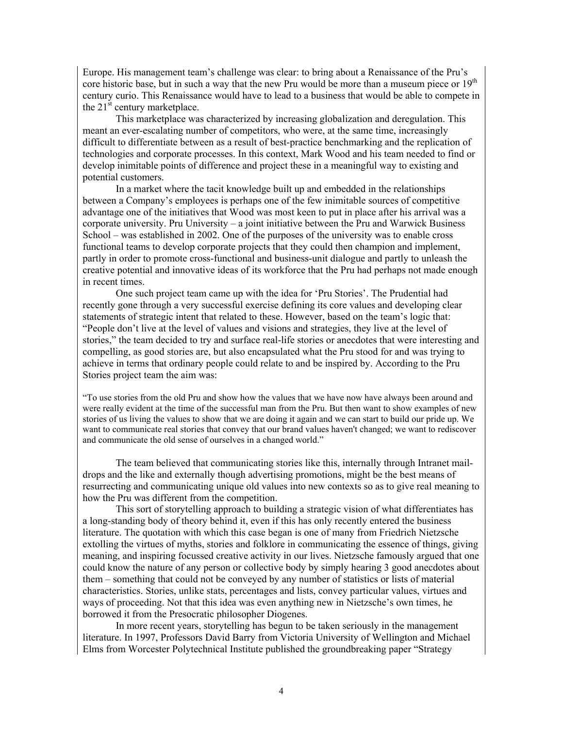Europe. His management team's challenge was clear: to bring about a Renaissance of the Pru's core historic base, but in such a way that the new Pru would be more than a museum piece or  $19<sup>th</sup>$ century curio. This Renaissance would have to lead to a business that would be able to compete in the  $21<sup>st</sup>$  century marketplace.

This marketplace was characterized by increasing globalization and deregulation. This meant an ever-escalating number of competitors, who were, at the same time, increasingly difficult to differentiate between as a result of best-practice benchmarking and the replication of technologies and corporate processes. In this context, Mark Wood and his team needed to find or develop inimitable points of difference and project these in a meaningful way to existing and potential customers.

In a market where the tacit knowledge built up and embedded in the relationships between a Company's employees is perhaps one of the few inimitable sources of competitive advantage one of the initiatives that Wood was most keen to put in place after his arrival was a corporate university. Pru University – a joint initiative between the Pru and Warwick Business School – was established in 2002. One of the purposes of the university was to enable cross functional teams to develop corporate projects that they could then champion and implement, partly in order to promote cross-functional and business-unit dialogue and partly to unleash the creative potential and innovative ideas of its workforce that the Pru had perhaps not made enough in recent times.

One such project team came up with the idea for 'Pru Stories'. The Prudential had recently gone through a very successful exercise defining its core values and developing clear statements of strategic intent that related to these. However, based on the team's logic that: "People don't live at the level of values and visions and strategies, they live at the level of stories," the team decided to try and surface real-life stories or anecdotes that were interesting and compelling, as good stories are, but also encapsulated what the Pru stood for and was trying to achieve in terms that ordinary people could relate to and be inspired by. According to the Pru Stories project team the aim was:

"To use stories from the old Pru and show how the values that we have now have always been around and were really evident at the time of the successful man from the Pru. But then want to show examples of new stories of us living the values to show that we are doing it again and we can start to build our pride up. We want to communicate real stories that convey that our brand values haven't changed; we want to rediscover and communicate the old sense of ourselves in a changed world."

The team believed that communicating stories like this, internally through Intranet maildrops and the like and externally though advertising promotions, might be the best means of resurrecting and communicating unique old values into new contexts so as to give real meaning to how the Pru was different from the competition.

This sort of storytelling approach to building a strategic vision of what differentiates has a long-standing body of theory behind it, even if this has only recently entered the business literature. The quotation with which this case began is one of many from Friedrich Nietzsche extolling the virtues of myths, stories and folklore in communicating the essence of things, giving meaning, and inspiring focussed creative activity in our lives. Nietzsche famously argued that one could know the nature of any person or collective body by simply hearing 3 good anecdotes about them – something that could not be conveyed by any number of statistics or lists of material characteristics. Stories, unlike stats, percentages and lists, convey particular values, virtues and ways of proceeding. Not that this idea was even anything new in Nietzsche's own times, he borrowed it from the Presocratic philosopher Diogenes.

In more recent years, storytelling has begun to be taken seriously in the management literature. In 1997, Professors David Barry from Victoria University of Wellington and Michael Elms from Worcester Polytechnical Institute published the groundbreaking paper "Strategy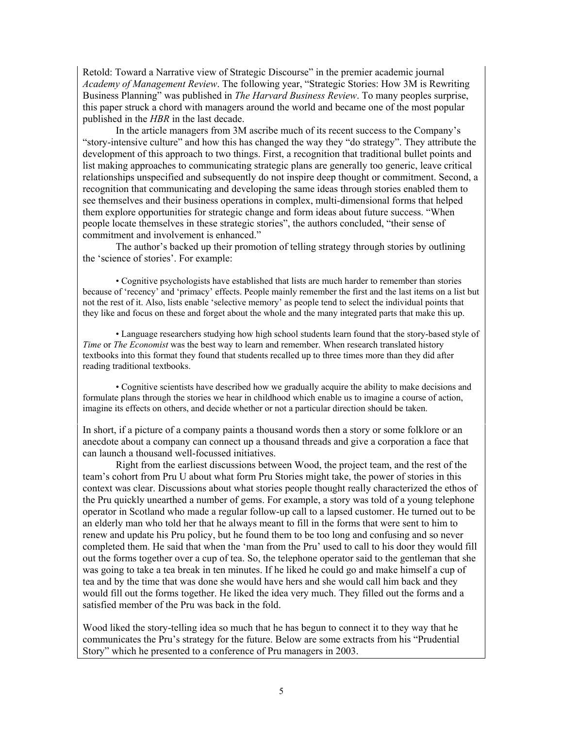Retold: Toward a Narrative view of Strategic Discourse" in the premier academic journal *Academy of Management Review*. The following year, "Strategic Stories: How 3M is Rewriting Business Planning" was published in *The Harvard Business Review*. To many peoples surprise, this paper struck a chord with managers around the world and became one of the most popular published in the *HBR* in the last decade.

In the article managers from 3M ascribe much of its recent success to the Company's "story-intensive culture" and how this has changed the way they "do strategy". They attribute the development of this approach to two things. First, a recognition that traditional bullet points and list making approaches to communicating strategic plans are generally too generic, leave critical relationships unspecified and subsequently do not inspire deep thought or commitment. Second, a recognition that communicating and developing the same ideas through stories enabled them to see themselves and their business operations in complex, multi-dimensional forms that helped them explore opportunities for strategic change and form ideas about future success. "When people locate themselves in these strategic stories", the authors concluded, "their sense of commitment and involvement is enhanced."

The author's backed up their promotion of telling strategy through stories by outlining the 'science of stories'. For example:

• Cognitive psychologists have established that lists are much harder to remember than stories because of 'recency' and 'primacy' effects. People mainly remember the first and the last items on a list but not the rest of it. Also, lists enable 'selective memory' as people tend to select the individual points that they like and focus on these and forget about the whole and the many integrated parts that make this up.

• Language researchers studying how high school students learn found that the story-based style of *Time* or *The Economist* was the best way to learn and remember. When research translated history textbooks into this format they found that students recalled up to three times more than they did after reading traditional textbooks.

• Cognitive scientists have described how we gradually acquire the ability to make decisions and formulate plans through the stories we hear in childhood which enable us to imagine a course of action, imagine its effects on others, and decide whether or not a particular direction should be taken.

In short, if a picture of a company paints a thousand words then a story or some folklore or an anecdote about a company can connect up a thousand threads and give a corporation a face that can launch a thousand well-focussed initiatives.

Right from the earliest discussions between Wood, the project team, and the rest of the team's cohort from Pru U about what form Pru Stories might take, the power of stories in this context was clear. Discussions about what stories people thought really characterized the ethos of the Pru quickly unearthed a number of gems. For example, a story was told of a young telephone operator in Scotland who made a regular follow-up call to a lapsed customer. He turned out to be an elderly man who told her that he always meant to fill in the forms that were sent to him to renew and update his Pru policy, but he found them to be too long and confusing and so never completed them. He said that when the 'man from the Pru' used to call to his door they would fill out the forms together over a cup of tea. So, the telephone operator said to the gentleman that she was going to take a tea break in ten minutes. If he liked he could go and make himself a cup of tea and by the time that was done she would have hers and she would call him back and they would fill out the forms together. He liked the idea very much. They filled out the forms and a satisfied member of the Pru was back in the fold.

Wood liked the story-telling idea so much that he has begun to connect it to they way that he communicates the Pru's strategy for the future. Below are some extracts from his "Prudential Story" which he presented to a conference of Pru managers in 2003.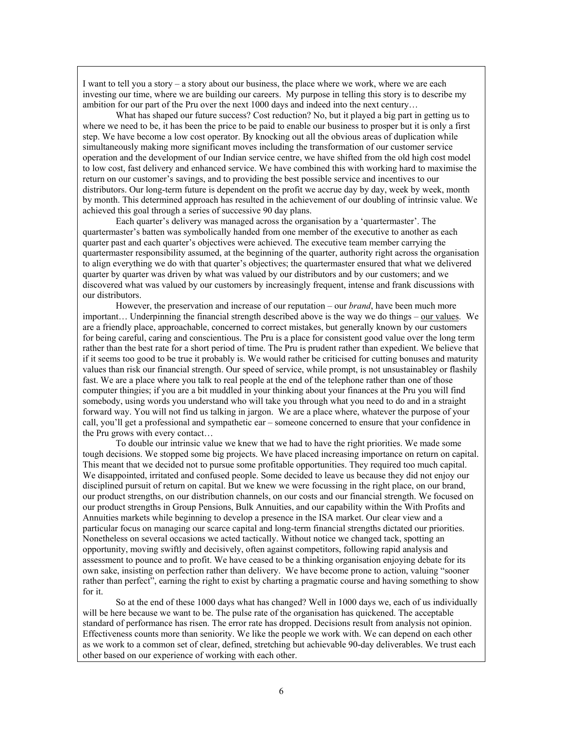I want to tell you a story – a story about our business, the place where we work, where we are each investing our time, where we are building our careers. My purpose in telling this story is to describe my ambition for our part of the Pru over the next 1000 days and indeed into the next century…

What has shaped our future success? Cost reduction? No, but it played a big part in getting us to where we need to be, it has been the price to be paid to enable our business to prosper but it is only a first step. We have become a low cost operator. By knocking out all the obvious areas of duplication while simultaneously making more significant moves including the transformation of our customer service operation and the development of our Indian service centre, we have shifted from the old high cost model to low cost, fast delivery and enhanced service. We have combined this with working hard to maximise the return on our customer's savings, and to providing the best possible service and incentives to our distributors. Our long-term future is dependent on the profit we accrue day by day, week by week, month by month. This determined approach has resulted in the achievement of our doubling of intrinsic value. We achieved this goal through a series of successive 90 day plans.

Each quarter's delivery was managed across the organisation by a 'quartermaster'. The quartermaster's batten was symbolically handed from one member of the executive to another as each quarter past and each quarter's objectives were achieved. The executive team member carrying the quartermaster responsibility assumed, at the beginning of the quarter, authority right across the organisation to align everything we do with that quarter's objectives; the quartermaster ensured that what we delivered quarter by quarter was driven by what was valued by our distributors and by our customers; and we discovered what was valued by our customers by increasingly frequent, intense and frank discussions with our distributors.

However, the preservation and increase of our reputation – our *brand*, have been much more important… Underpinning the financial strength described above is the way we do things – our values. We are a friendly place, approachable, concerned to correct mistakes, but generally known by our customers for being careful, caring and conscientious. The Pru is a place for consistent good value over the long term rather than the best rate for a short period of time. The Pru is prudent rather than expedient. We believe that if it seems too good to be true it probably is. We would rather be criticised for cutting bonuses and maturity values than risk our financial strength. Our speed of service, while prompt, is not unsustainabley or flashily fast. We are a place where you talk to real people at the end of the telephone rather than one of those computer thingies; if you are a bit muddled in your thinking about your finances at the Pru you will find somebody, using words you understand who will take you through what you need to do and in a straight forward way. You will not find us talking in jargon. We are a place where, whatever the purpose of your call, you'll get a professional and sympathetic ear – someone concerned to ensure that your confidence in the Pru grows with every contact…

To double our intrinsic value we knew that we had to have the right priorities. We made some tough decisions. We stopped some big projects. We have placed increasing importance on return on capital. This meant that we decided not to pursue some profitable opportunities. They required too much capital. We disappointed, irritated and confused people. Some decided to leave us because they did not enjoy our disciplined pursuit of return on capital. But we knew we were focussing in the right place, on our brand, our product strengths, on our distribution channels, on our costs and our financial strength. We focused on our product strengths in Group Pensions, Bulk Annuities, and our capability within the With Profits and Annuities markets while beginning to develop a presence in the ISA market. Our clear view and a particular focus on managing our scarce capital and long-term financial strengths dictated our priorities. Nonetheless on several occasions we acted tactically. Without notice we changed tack, spotting an opportunity, moving swiftly and decisively, often against competitors, following rapid analysis and assessment to pounce and to profit. We have ceased to be a thinking organisation enjoying debate for its own sake, insisting on perfection rather than delivery. We have become prone to action, valuing "sooner rather than perfect", earning the right to exist by charting a pragmatic course and having something to show for it.

So at the end of these 1000 days what has changed? Well in 1000 days we, each of us individually will be here because we want to be. The pulse rate of the organisation has quickened. The acceptable standard of performance has risen. The error rate has dropped. Decisions result from analysis not opinion. Effectiveness counts more than seniority. We like the people we work with. We can depend on each other as we work to a common set of clear, defined, stretching but achievable 90-day deliverables. We trust each other based on our experience of working with each other.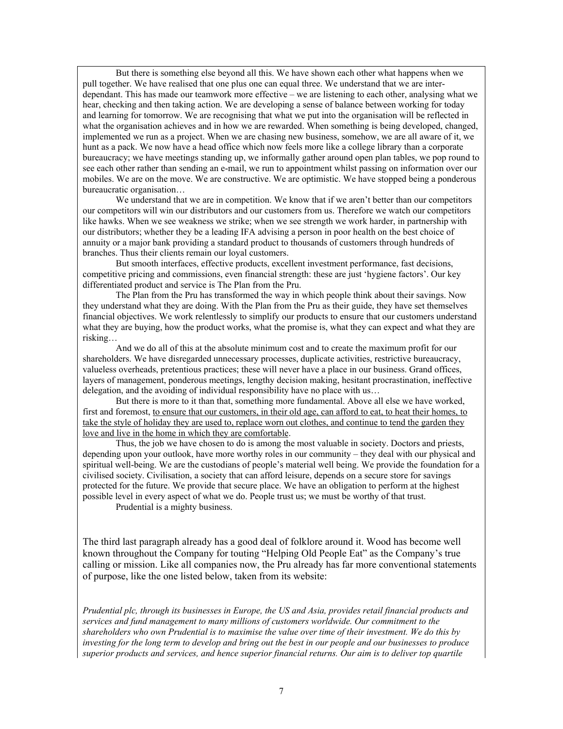But there is something else beyond all this. We have shown each other what happens when we pull together. We have realised that one plus one can equal three. We understand that we are interdependant. This has made our teamwork more effective – we are listening to each other, analysing what we hear, checking and then taking action. We are developing a sense of balance between working for today and learning for tomorrow. We are recognising that what we put into the organisation will be reflected in what the organisation achieves and in how we are rewarded. When something is being developed, changed, implemented we run as a project. When we are chasing new business, somehow, we are all aware of it, we hunt as a pack. We now have a head office which now feels more like a college library than a corporate bureaucracy; we have meetings standing up, we informally gather around open plan tables, we pop round to see each other rather than sending an e-mail, we run to appointment whilst passing on information over our mobiles. We are on the move. We are constructive. We are optimistic. We have stopped being a ponderous bureaucratic organisation…

We understand that we are in competition. We know that if we aren't better than our competitors our competitors will win our distributors and our customers from us. Therefore we watch our competitors like hawks. When we see weakness we strike; when we see strength we work harder, in partnership with our distributors; whether they be a leading IFA advising a person in poor health on the best choice of annuity or a major bank providing a standard product to thousands of customers through hundreds of branches. Thus their clients remain our loyal customers.

But smooth interfaces, effective products, excellent investment performance, fast decisions, competitive pricing and commissions, even financial strength: these are just 'hygiene factors'. Our key differentiated product and service is The Plan from the Pru.

The Plan from the Pru has transformed the way in which people think about their savings. Now they understand what they are doing. With the Plan from the Pru as their guide, they have set themselves financial objectives. We work relentlessly to simplify our products to ensure that our customers understand what they are buying, how the product works, what the promise is, what they can expect and what they are risking…

And we do all of this at the absolute minimum cost and to create the maximum profit for our shareholders. We have disregarded unnecessary processes, duplicate activities, restrictive bureaucracy, valueless overheads, pretentious practices; these will never have a place in our business. Grand offices, layers of management, ponderous meetings, lengthy decision making, hesitant procrastination, ineffective delegation, and the avoiding of individual responsibility have no place with us…

But there is more to it than that, something more fundamental. Above all else we have worked, first and foremost, to ensure that our customers, in their old age, can afford to eat, to heat their homes, to take the style of holiday they are used to, replace worn out clothes, and continue to tend the garden they love and live in the home in which they are comfortable.

Thus, the job we have chosen to do is among the most valuable in society. Doctors and priests, depending upon your outlook, have more worthy roles in our community – they deal with our physical and spiritual well-being. We are the custodians of people's material well being. We provide the foundation for a civilised society. Civilisation, a society that can afford leisure, depends on a secure store for savings protected for the future. We provide that secure place. We have an obligation to perform at the highest possible level in every aspect of what we do. People trust us; we must be worthy of that trust.

Prudential is a mighty business.

The third last paragraph already has a good deal of folklore around it. Wood has become well known throughout the Company for touting "Helping Old People Eat" as the Company's true calling or mission. Like all companies now, the Pru already has far more conventional statements of purpose, like the one listed below, taken from its website:

*Prudential plc, through its businesses in Europe, the US and Asia, provides retail financial products and services and fund management to many millions of customers worldwide. Our commitment to the shareholders who own Prudential is to maximise the value over time of their investment. We do this by investing for the long term to develop and bring out the best in our people and our businesses to produce superior products and services, and hence superior financial returns. Our aim is to deliver top quartile*